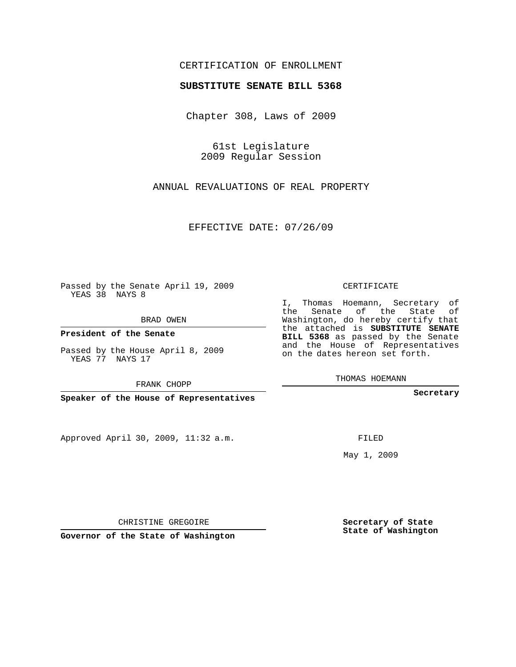## CERTIFICATION OF ENROLLMENT

## **SUBSTITUTE SENATE BILL 5368**

Chapter 308, Laws of 2009

61st Legislature 2009 Regular Session

ANNUAL REVALUATIONS OF REAL PROPERTY

EFFECTIVE DATE: 07/26/09

Passed by the Senate April 19, 2009 YEAS 38 NAYS 8

BRAD OWEN

**President of the Senate**

Passed by the House April 8, 2009 YEAS 77 NAYS 17

FRANK CHOPP

**Speaker of the House of Representatives**

Approved April 30, 2009, 11:32 a.m.

CERTIFICATE

I, Thomas Hoemann, Secretary of the Senate of the State of Washington, do hereby certify that the attached is **SUBSTITUTE SENATE BILL 5368** as passed by the Senate and the House of Representatives on the dates hereon set forth.

THOMAS HOEMANN

**Secretary**

FILED

May 1, 2009

**Secretary of State State of Washington**

CHRISTINE GREGOIRE

**Governor of the State of Washington**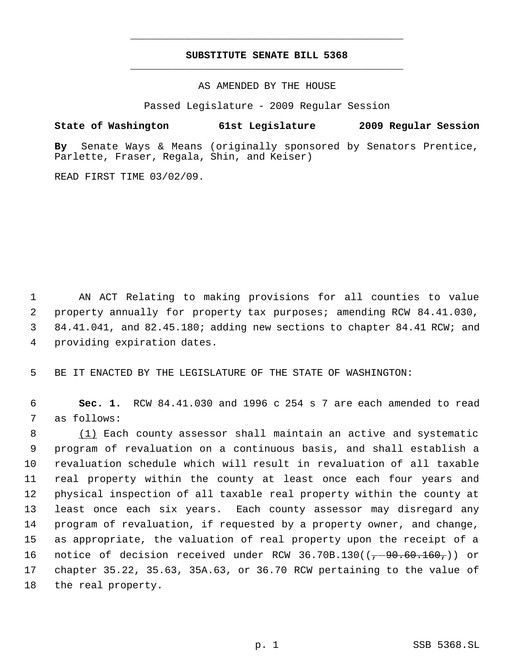## **SUBSTITUTE SENATE BILL 5368** \_\_\_\_\_\_\_\_\_\_\_\_\_\_\_\_\_\_\_\_\_\_\_\_\_\_\_\_\_\_\_\_\_\_\_\_\_\_\_\_\_\_\_\_\_

\_\_\_\_\_\_\_\_\_\_\_\_\_\_\_\_\_\_\_\_\_\_\_\_\_\_\_\_\_\_\_\_\_\_\_\_\_\_\_\_\_\_\_\_\_

AS AMENDED BY THE HOUSE

Passed Legislature - 2009 Regular Session

**State of Washington 61st Legislature 2009 Regular Session**

**By** Senate Ways & Means (originally sponsored by Senators Prentice, Parlette, Fraser, Regala, Shin, and Keiser)

READ FIRST TIME 03/02/09.

 AN ACT Relating to making provisions for all counties to value property annually for property tax purposes; amending RCW 84.41.030, 84.41.041, and 82.45.180; adding new sections to chapter 84.41 RCW; and providing expiration dates.

5 BE IT ENACTED BY THE LEGISLATURE OF THE STATE OF WASHINGTON:

 6 **Sec. 1.** RCW 84.41.030 and 1996 c 254 s 7 are each amended to read 7 as follows:

8 (1) Each county assessor shall maintain an active and systematic program of revaluation on a continuous basis, and shall establish a revaluation schedule which will result in revaluation of all taxable real property within the county at least once each four years and physical inspection of all taxable real property within the county at least once each six years. Each county assessor may disregard any program of revaluation, if requested by a property owner, and change, as appropriate, the valuation of real property upon the receipt of a 16 notice of decision received under RCW 36.70B.130( $(-90.60.160,)$ ) or chapter 35.22, 35.63, 35A.63, or 36.70 RCW pertaining to the value of the real property.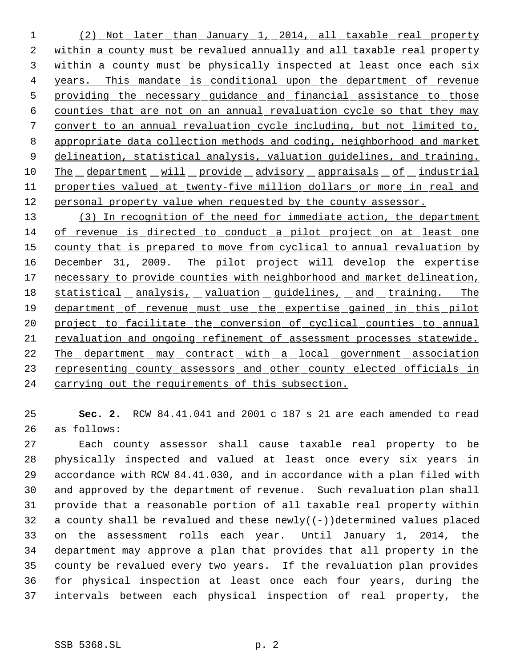(2) Not later than January 1, 2014, all taxable real property within a county must be revalued annually and all taxable real property within a county must be physically inspected at least once each six 4 years. This mandate is conditional upon the department of revenue 5 providing the necessary guidance and financial assistance to those counties that are not on an annual revaluation cycle so that they may convert to an annual revaluation cycle including, but not limited to, appropriate data collection methods and coding, neighborhood and market delineation, statistical analysis, valuation guidelines, and training. 10 The department will provide advisory appraisals of industrial properties valued at twenty-five million dollars or more in real and 12 personal property value when requested by the county assessor.

 (3) In recognition of the need for immediate action, the department of revenue is directed to conduct a pilot project on at least one 15 county that is prepared to move from cyclical to annual revaluation by 16 December 31, 2009. The pilot project will develop the expertise 17 necessary to provide counties with neighborhood and market delineation, 18 statistical analysis, valuation guidelines, and training. The department of revenue must use the expertise gained in this pilot 20 project to facilitate the conversion of cyclical counties to annual revaluation and ongoing refinement of assessment processes statewide. 22 The department may contract with a local government association 23 representing county assessors and other county elected officials in carrying out the requirements of this subsection.

 **Sec. 2.** RCW 84.41.041 and 2001 c 187 s 21 are each amended to read as follows:

 Each county assessor shall cause taxable real property to be physically inspected and valued at least once every six years in accordance with RCW 84.41.030, and in accordance with a plan filed with and approved by the department of revenue. Such revaluation plan shall provide that a reasonable portion of all taxable real property within 32 a county shall be revalued and these  $newly((-))$ determined values placed 33 on the assessment rolls each year. Until January 1, 2014, the department may approve a plan that provides that all property in the county be revalued every two years. If the revaluation plan provides for physical inspection at least once each four years, during the intervals between each physical inspection of real property, the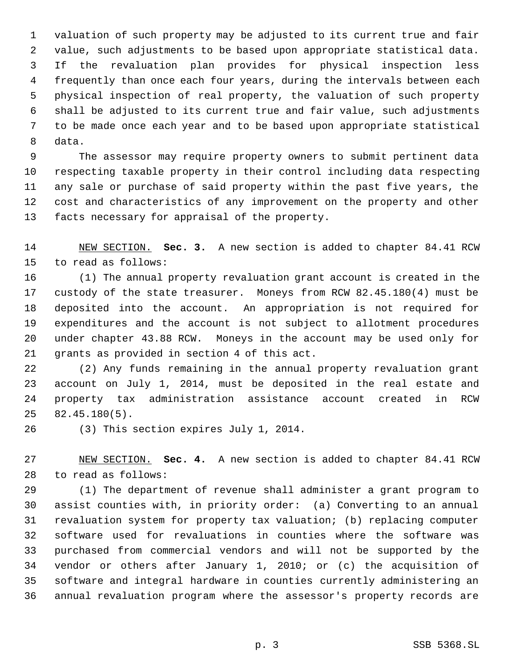valuation of such property may be adjusted to its current true and fair value, such adjustments to be based upon appropriate statistical data. If the revaluation plan provides for physical inspection less frequently than once each four years, during the intervals between each physical inspection of real property, the valuation of such property shall be adjusted to its current true and fair value, such adjustments to be made once each year and to be based upon appropriate statistical data.

 The assessor may require property owners to submit pertinent data respecting taxable property in their control including data respecting any sale or purchase of said property within the past five years, the cost and characteristics of any improvement on the property and other facts necessary for appraisal of the property.

 NEW SECTION. **Sec. 3.** A new section is added to chapter 84.41 RCW to read as follows:

 (1) The annual property revaluation grant account is created in the custody of the state treasurer. Moneys from RCW 82.45.180(4) must be deposited into the account. An appropriation is not required for expenditures and the account is not subject to allotment procedures under chapter 43.88 RCW. Moneys in the account may be used only for grants as provided in section 4 of this act.

 (2) Any funds remaining in the annual property revaluation grant account on July 1, 2014, must be deposited in the real estate and property tax administration assistance account created in RCW 82.45.180(5).

(3) This section expires July 1, 2014.

 NEW SECTION. **Sec. 4.** A new section is added to chapter 84.41 RCW to read as follows:

 (1) The department of revenue shall administer a grant program to assist counties with, in priority order: (a) Converting to an annual revaluation system for property tax valuation; (b) replacing computer software used for revaluations in counties where the software was purchased from commercial vendors and will not be supported by the vendor or others after January 1, 2010; or (c) the acquisition of software and integral hardware in counties currently administering an annual revaluation program where the assessor's property records are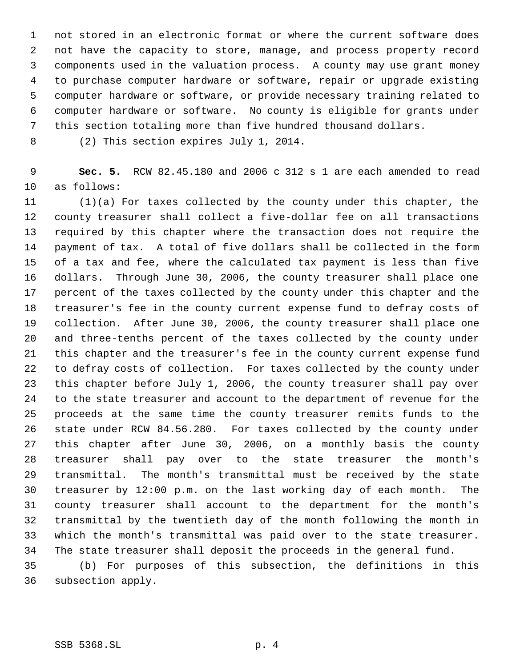not stored in an electronic format or where the current software does not have the capacity to store, manage, and process property record components used in the valuation process. A county may use grant money to purchase computer hardware or software, repair or upgrade existing computer hardware or software, or provide necessary training related to computer hardware or software. No county is eligible for grants under this section totaling more than five hundred thousand dollars.

(2) This section expires July 1, 2014.

 **Sec. 5.** RCW 82.45.180 and 2006 c 312 s 1 are each amended to read as follows:

 (1)(a) For taxes collected by the county under this chapter, the county treasurer shall collect a five-dollar fee on all transactions required by this chapter where the transaction does not require the payment of tax. A total of five dollars shall be collected in the form of a tax and fee, where the calculated tax payment is less than five dollars. Through June 30, 2006, the county treasurer shall place one percent of the taxes collected by the county under this chapter and the treasurer's fee in the county current expense fund to defray costs of collection. After June 30, 2006, the county treasurer shall place one and three-tenths percent of the taxes collected by the county under this chapter and the treasurer's fee in the county current expense fund to defray costs of collection. For taxes collected by the county under this chapter before July 1, 2006, the county treasurer shall pay over to the state treasurer and account to the department of revenue for the proceeds at the same time the county treasurer remits funds to the state under RCW 84.56.280. For taxes collected by the county under this chapter after June 30, 2006, on a monthly basis the county treasurer shall pay over to the state treasurer the month's transmittal. The month's transmittal must be received by the state treasurer by 12:00 p.m. on the last working day of each month. The county treasurer shall account to the department for the month's transmittal by the twentieth day of the month following the month in which the month's transmittal was paid over to the state treasurer. The state treasurer shall deposit the proceeds in the general fund.

 (b) For purposes of this subsection, the definitions in this subsection apply.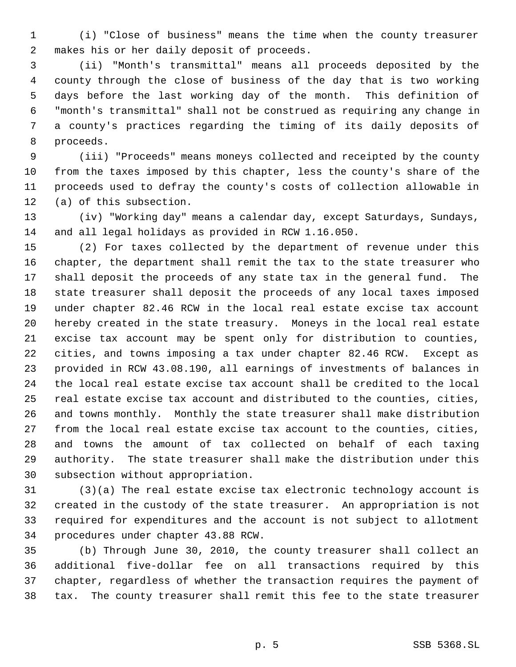(i) "Close of business" means the time when the county treasurer makes his or her daily deposit of proceeds.

 (ii) "Month's transmittal" means all proceeds deposited by the county through the close of business of the day that is two working days before the last working day of the month. This definition of "month's transmittal" shall not be construed as requiring any change in a county's practices regarding the timing of its daily deposits of proceeds.

 (iii) "Proceeds" means moneys collected and receipted by the county from the taxes imposed by this chapter, less the county's share of the proceeds used to defray the county's costs of collection allowable in (a) of this subsection.

 (iv) "Working day" means a calendar day, except Saturdays, Sundays, and all legal holidays as provided in RCW 1.16.050.

 (2) For taxes collected by the department of revenue under this chapter, the department shall remit the tax to the state treasurer who shall deposit the proceeds of any state tax in the general fund. The state treasurer shall deposit the proceeds of any local taxes imposed under chapter 82.46 RCW in the local real estate excise tax account hereby created in the state treasury. Moneys in the local real estate excise tax account may be spent only for distribution to counties, cities, and towns imposing a tax under chapter 82.46 RCW. Except as provided in RCW 43.08.190, all earnings of investments of balances in the local real estate excise tax account shall be credited to the local real estate excise tax account and distributed to the counties, cities, and towns monthly. Monthly the state treasurer shall make distribution from the local real estate excise tax account to the counties, cities, and towns the amount of tax collected on behalf of each taxing authority. The state treasurer shall make the distribution under this subsection without appropriation.

 (3)(a) The real estate excise tax electronic technology account is created in the custody of the state treasurer. An appropriation is not required for expenditures and the account is not subject to allotment procedures under chapter 43.88 RCW.

 (b) Through June 30, 2010, the county treasurer shall collect an additional five-dollar fee on all transactions required by this chapter, regardless of whether the transaction requires the payment of tax. The county treasurer shall remit this fee to the state treasurer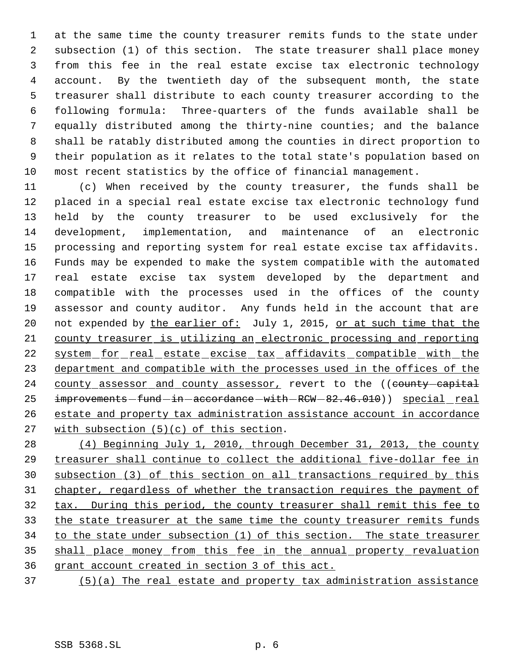at the same time the county treasurer remits funds to the state under subsection (1) of this section. The state treasurer shall place money from this fee in the real estate excise tax electronic technology account. By the twentieth day of the subsequent month, the state treasurer shall distribute to each county treasurer according to the following formula: Three-quarters of the funds available shall be equally distributed among the thirty-nine counties; and the balance shall be ratably distributed among the counties in direct proportion to their population as it relates to the total state's population based on most recent statistics by the office of financial management.

 (c) When received by the county treasurer, the funds shall be placed in a special real estate excise tax electronic technology fund held by the county treasurer to be used exclusively for the development, implementation, and maintenance of an electronic processing and reporting system for real estate excise tax affidavits. Funds may be expended to make the system compatible with the automated real estate excise tax system developed by the department and compatible with the processes used in the offices of the county assessor and county auditor. Any funds held in the account that are 20 not expended by the earlier of: July 1, 2015, or at such time that the county treasurer is utilizing an electronic processing and reporting 22 system for real estate excise tax affidavits compatible with the department and compatible with the processes used in the offices of the 24 county assessor and county assessor, revert to the ((county-capital improvements -fund -in -accordance -with -RCW -  $82.46.010$ ) special real estate and property tax administration assistance account in accordance with subsection (5)(c) of this section.

 (4) Beginning July 1, 2010, through December 31, 2013, the county treasurer shall continue to collect the additional five-dollar fee in subsection (3) of this section on all transactions required by this chapter, regardless of whether the transaction requires the payment of tax. During this period, the county treasurer shall remit this fee to the state treasurer at the same time the county treasurer remits funds 34 to the state under subsection (1) of this section. The state treasurer shall place money from this fee in the annual property revaluation grant account created in section 3 of this act.

(5)(a) The real estate and property tax administration assistance